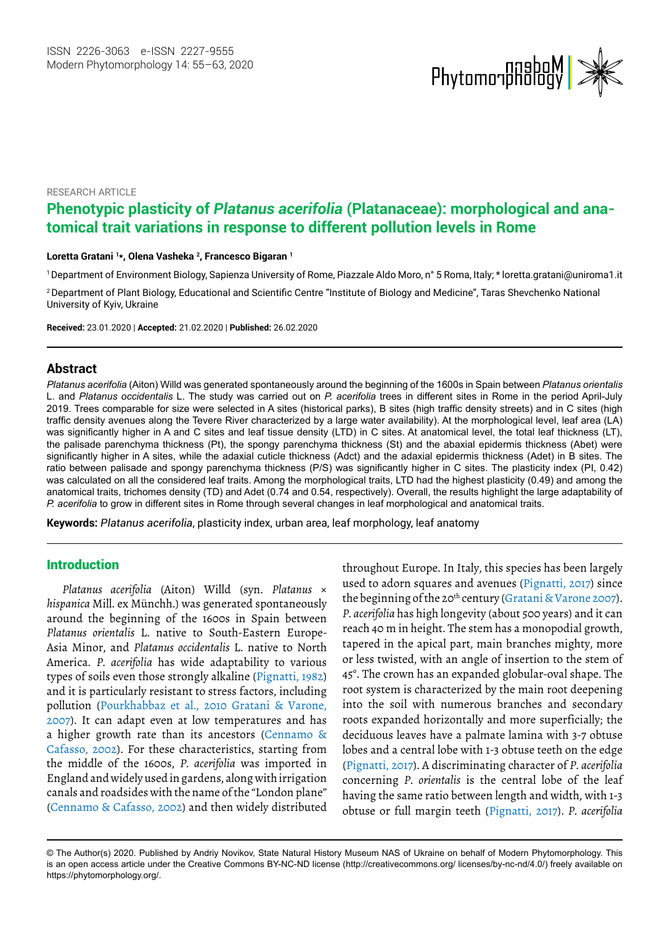

#### RESEARCH ARTICLE

# **Phenotypic plasticity of** *Platanus acerifolia* **(Platanaceae): morphological and anatomical trait variations in response to different pollution levels in Rome**

#### **Loretta Gratani 1 \*, Olena Vasheka 2 , Francesco Bigaran 1**

1 Department of Environment Biology, Sapienza University of Rome, Piazzale Aldo Moro, n° 5 Roma, Italy; \* [loretta.gratani@uniroma1.it](mailto:loretta.gratani@uniroma1.it)

<sup>2</sup>Department of Plant Biology, Educational and Scientific Centre "Institute of Biology and Medicine", Taras Shevchenko National University of Kyiv, Ukraine

**Received:** 23.01.2020 | **Accepted:** 21.02.2020 | **Published:** 26.02.2020

#### **Abstract**

*Platanus acerifolia* (Aiton) Willd was generated spontaneously around the beginning of the 1600s in Spain between *Platanus orientalis* L. and *Platanus occidentalis* L. The study was carried out on *P. acerifolia* trees in different sites in Rome in the period April-July 2019. Trees comparable for size were selected in A sites (historical parks), B sites (high traffic density streets) and in C sites (high traffic density avenues along the Tevere River characterized by a large water availability). At the morphological level, leaf area (LA) was significantly higher in A and C sites and leaf tissue density (LTD) in C sites. At anatomical level, the total leaf thickness (LT), the palisade parenchyma thickness (Pt), the spongy parenchyma thickness (St) and the abaxial epidermis thickness (Abet) were significantly higher in A sites, while the adaxial cuticle thickness (Adct) and the adaxial epidermis thickness (Adet) in B sites. The ratio between palisade and spongy parenchyma thickness (P/S) was significantly higher in C sites. The plasticity index (PI, 0.42) was calculated on all the considered leaf traits. Among the morphological traits, LTD had the highest plasticity (0.49) and among the anatomical traits, trichomes density (TD) and Adet (0.74 and 0.54, respectively). Overall, the results highlight the large adaptability of *P. acerifolia* to grow in different sites in Rome through several changes in leaf morphological and anatomical traits.

**Keywords:** *Platanus acerifolia*, plasticity index, urban area, leaf morphology, leaf anatomy

#### Introduction

*Platanus acerifolia* (Aiton) Willd (syn. *Platanus* × *hispanica* Mill. ex Münchh.) was generated spontaneously around the beginning of the 1600s in Spain between *Platanus orientalis* L. native to South-Eastern Europe-Asia Minor, and *Platanus occidentalis* L. native to North America. *P. acerifolia* has wide adaptability to various types of soils even those strongly alkaline (Pignatti, 1982) and it is particularly resistant to stress factors, including pollution (Pourkhabbaz et al., 2010 Gratani & Varone, 2007). It can adapt even at low temperatures and has a higher growth rate than its ancestors (Cennamo & Cafasso, 2002). For these characteristics, starting from the middle of the 1600s, *P. acerifolia* was imported in England and widely used in gardens, along with irrigation canals and roadsides with the name of the "London plane" (Cennamo & Cafasso, 2002) and then widely distributed throughout Europe. In Italy, this species has been largely used to adorn squares and avenues (Pignatti, 2017) since the beginning of the 20<sup>th</sup> century (Gratani & Varone 2007). *P. acerifolia* has high longevity (about 500 years) and it can reach 40 m in height. The stem has a monopodial growth, tapered in the apical part, main branches mighty, more or less twisted, with an angle of insertion to the stem of 45°. The crown has an expanded globular-oval shape. The root system is characterized by the main root deepening into the soil with numerous branches and secondary roots expanded horizontally and more superficially; the deciduous leaves have a palmate lamina with 3-7 obtuse lobes and a central lobe with 1-3 obtuse teeth on the edge (Pignatti, 2017). A discriminating character of *P. acerifolia* concerning *P. orientalis* is the central lobe of the leaf having the same ratio between length and width, with 1-3 obtuse or full margin teeth (Pignatti, 2017). *P. acerifolia*

<sup>©</sup> The Author(s) 2020. Published by Andriy Novikov, State Natural History Museum NAS of Ukraine on behalf of Modern Phytomorphology. This is an open access article under the Creative Commons BY-NC-ND license (http://creativecommons.org/ licenses/by-nc-nd/4.0/) freely available on https://phytomorphology.org/.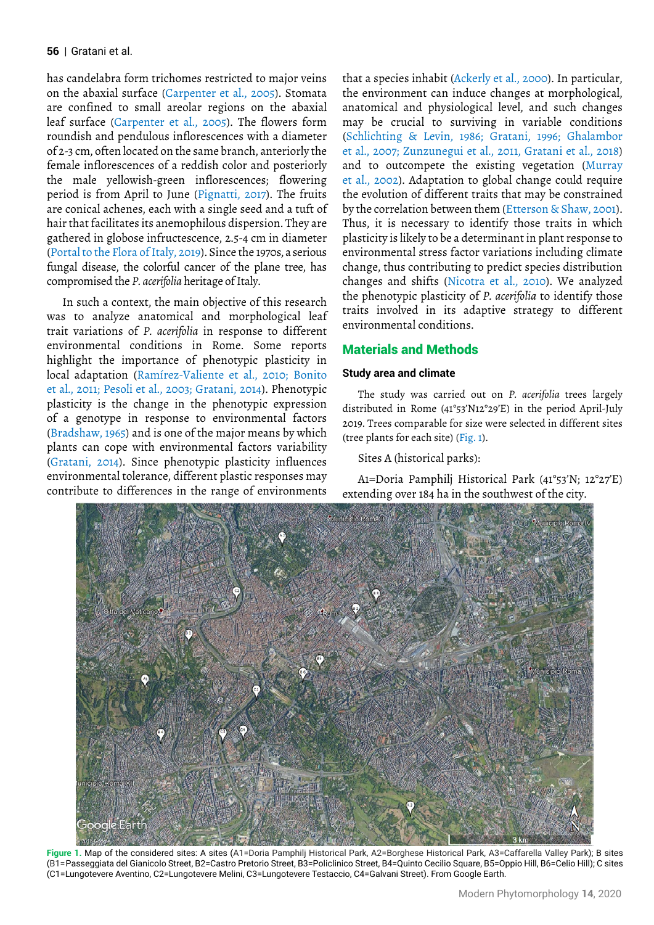#### | Gratani et al. **56**

has candelabra form trichomes restricted to major veins on the abaxial surface (Carpenter et al., 2005). Stomata are confined to small areolar regions on the abaxial leaf surface (Carpenter et al., 2005). The flowers form roundish and pendulous inflorescences with a diameter of 2-3 cm, often located on the same branch, anteriorly the female inflorescences of a reddish color and posteriorly the male yellowish-green inflorescences; flowering period is from April to June (Pignatti, 2017). The fruits are conical achenes, each with a single seed and a tuft of hair that facilitates its anemophilous dispersion. They are gathered in globose infructescence, 2.5-4 cm in diameter (Portal to the Flora of Italy, 2019). Since the 1970s, a serious fungal disease, the colorful cancer of the plane tree, has compromised the *P. acerifolia* heritage of Italy.

In such a context, the main objective of this research was to analyze anatomical and morphological leaf trait variations of *P. acerifolia* in response to different environmental conditions in Rome. Some reports highlight the importance of phenotypic plasticity in local adaptation (Ramírez-Valiente et al., 2010; Bonito et al., 2011; Pesoli et al., 2003; Gratani, 2014). Phenotypic plasticity is the change in the phenotypic expression of a genotype in response to environmental factors (Bradshaw, 1965) and is one of the major means by which plants can cope with environmental factors variability (Gratani, 2014). Since phenotypic plasticity influences environmental tolerance, different plastic responses may contribute to differences in the range of environments

that a species inhabit (Ackerly et al., 2000). In particular, the environment can induce changes at morphological, anatomical and physiological level, and such changes may be crucial to surviving in variable conditions (Schlichting & Levin, 1986; Gratani, 1996; Ghalambor et al., 2007; Zunzunegui et al., 2011, Gratani et al., 2018) and to outcompete the existing vegetation (Murray et al., 2002). Adaptation to global change could require the evolution of different traits that may be constrained by the correlation between them (Etterson & Shaw, 2001). Thus, it is necessary to identify those traits in which plasticity is likely to be a determinant in plant response to environmental stress factor variations including climate change, thus contributing to predict species distribution changes and shifts (Nicotra et al., 2010). We analyzed the phenotypic plasticity of *P. acerifolia* to identify those traits involved in its adaptive strategy to different environmental conditions.

# Materials and Methods

#### **Study area and climate**

The study was carried out on *P. acerifolia* trees largely distributed in Rome (41°53'N12°29'E) in the period April-July 2019. Trees comparable for size were selected in different sites (tree plants for each site) (Fig. 1).

Sites A (historical parks):

A1=Doria Pamphilj Historical Park (41°53'N; 12°27'E) extending over 184 ha in the southwest of the city.



Figure 1. Map of the considered sites: A sites (A1=Doria Pamphilj Historical Park, A2=Borghese Historical Park, A3=Caffarella Valley Park); B sites (B1=Passeggiata del Gianicolo Street, B2=Castro Pretorio Street, B3=Policlinico Street, B4=Quinto Cecilio Square, B5=Oppio Hill, B6=Celio Hill); C sites (C1=Lungotevere Aventino, C2=Lungotevere Melini, C3=Lungotevere Testaccio, C4=Galvani Street). From Google Earth.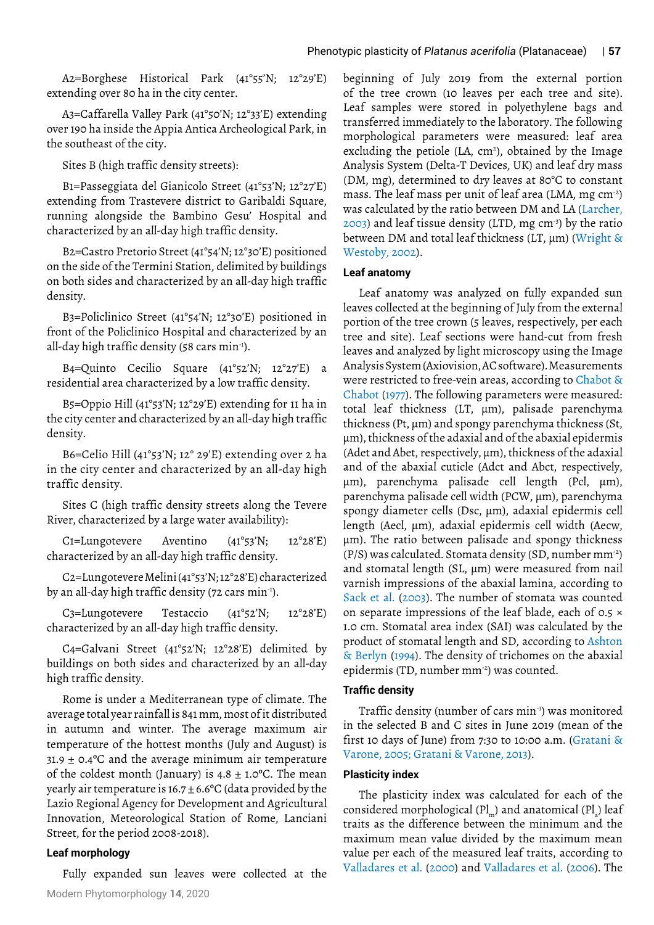A2=Borghese Historical Park (41°55'N; 12°29'E) extending over 80 ha in the city center.

A3=Caffarella Valley Park (41°50'N; 12°33'E) extending over 190 ha inside the Appia Antica Archeological Park, in the southeast of the city.

Sites B (high traffic density streets):

B1=Passeggiata del Gianicolo Street (41°53'N; 12°27'E) extending from Trastevere district to Garibaldi Square, running alongside the Bambino Gesu' Hospital and characterized by an all-day high traffic density.

B2=Castro Pretorio Street (41°54'N; 12°30'E) positioned on the side of the Termini Station, delimited by buildings on both sides and characterized by an all-day high traffic density.

B3=Policlinico Street (41°54'N; 12°30'E) positioned in front of the Policlinico Hospital and characterized by an all-day high traffic density (58 cars min-1).

B4=Quinto Cecilio Square (41°52'N; 12°27'E) a residential area characterized by a low traffic density.

B5=Oppio Hill (41°53'N; 12°29'E) extending for 11 ha in the city center and characterized by an all-day high traffic density.

B6=Celio Hill (41°53'N; 12° 29'E) extending over 2 ha in the city center and characterized by an all-day high traffic density.

Sites C (high traffic density streets along the Tevere River, characterized by a large water availability):

C1=Lungotevere Aventino (41°53'N; 12°28'E) characterized by an all-day high traffic density.

C2=Lungotevere Melini (41°53'N; 12°28'E) characterized by an all-day high traffic density (72 cars min-1).

C3=Lungotevere Testaccio (41°52'N; 12°28'E) characterized by an all-day high traffic density.

C4=Galvani Street (41°52'N; 12°28'E) delimited by buildings on both sides and characterized by an all-day high traffic density.

Rome is under a Mediterranean type of climate. The average total year rainfall is 841 mm, most of it distributed in autumn and winter. The average maximum air temperature of the hottest months (July and August) is  $31.9 \pm 0.4$ °C and the average minimum air temperature of the coldest month (January) is  $4.8 \pm 1.0$ °C. The mean yearly air temperature is  $16.7 \pm 6.6$ °C (data provided by the Lazio Regional Agency for Development and Agricultural Innovation, Meteorological Station of Rome, Lanciani Street, for the period 2008-2018).

# **Leaf morphology**

Modern Phytomorphology **14**, 2020 Fully expanded sun leaves were collected at the

beginning of July 2019 from the external portion of the tree crown (10 leaves per each tree and site). Leaf samples were stored in polyethylene bags and transferred immediately to the laboratory. The following morphological parameters were measured: leaf area excluding the petiole  $(LA, cm^2)$ , obtained by the Image Analysis System (Delta-T Devices, UK) and leaf dry mass (DM, mg), determined to dry leaves at 80°C to constant mass. The leaf mass per unit of leaf area (LMA, mg cm<sup>-2</sup>) was calculated by the ratio between DM and LA (Larcher,  $2003$ ) and leaf tissue density (LTD, mg cm<sup>-3</sup>) by the ratio between DM and total leaf thickness (LT,  $\mu$ m) (Wright & Westoby, 2002).

#### **Leaf anatomy**

Leaf anatomy was analyzed on fully expanded sun leaves collected at the beginning of July from the external portion of the tree crown (5 leaves, respectively, per each tree and site). Leaf sections were hand-cut from fresh leaves and analyzed by light microscopy using the Image Analysis System (Axiovision, AC software). Measurements were restricted to free-vein areas, according to Chabot & Chabot (1977). The following parameters were measured: total leaf thickness (LT, µm), palisade parenchyma thickness (Pt, µm) and spongy parenchyma thickness (St, µm), thickness of the adaxial and of the abaxial epidermis (Adet and Abet, respectively, µm), thickness of the adaxial and of the abaxial cuticle (Adct and Abct, respectively, µm), parenchyma palisade cell length (Pcl, µm), parenchyma palisade cell width (PCW, µm), parenchyma spongy diameter cells (Dsc, µm), adaxial epidermis cell length (Aecl, µm), adaxial epidermis cell width (Aecw, µm). The ratio between palisade and spongy thickness (P/S) was calculated. Stomata density (SD, number mm-2) and stomatal length (SL, µm) were measured from nail varnish impressions of the abaxial lamina, according to Sack et al. (2003). The number of stomata was counted on separate impressions of the leaf blade, each of 0.5 × 1.0 cm. Stomatal area index (SAI) was calculated by the product of stomatal length and SD, according to Ashton & Berlyn (1994). The density of trichomes on the abaxial epidermis (TD, number mm<sup>-2</sup>) was counted.

## **Traffic density**

Traffic density (number of cars min-1) was monitored in the selected B and C sites in June 2019 (mean of the first 10 days of June) from 7:30 to 10:00 a.m. (Gratani & Varone, 2005; Gratani & Varone, 2013).

# **Plasticity index**

The plasticity index was calculated for each of the considered morphological (Pl<sub>m</sub>) and anatomical (Pl<sub>a</sub>) leaf traits as the difference between the minimum and the maximum mean value divided by the maximum mean value per each of the measured leaf traits, according to Valladares et al. (2000) and Valladares et al. (2006). The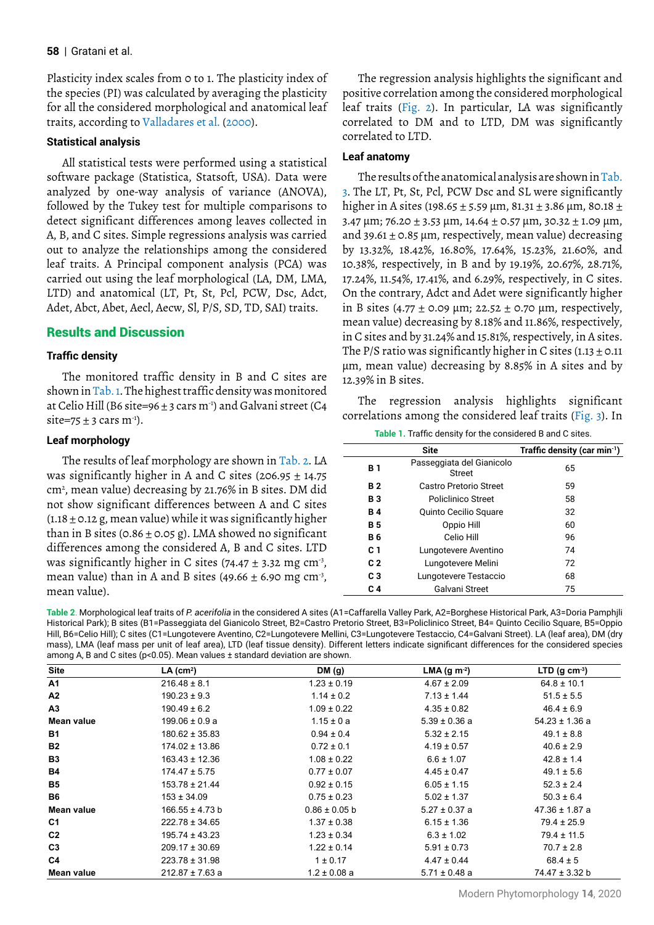Plasticity index scales from 0 to 1. The plasticity index of the species (PI) was calculated by averaging the plasticity for all the considered morphological and anatomical leaf traits, according to Valladares et al. (2000).

## **Statistical analysis**

All statistical tests were performed using a statistical software package (Statistica, Statsoft, USA). Data were analyzed by one-way analysis of variance (ANOVA), followed by the Tukey test for multiple comparisons to detect significant differences among leaves collected in A, B, and C sites. Simple regressions analysis was carried out to analyze the relationships among the considered leaf traits. A Principal component analysis (PCA) was carried out using the leaf morphological (LA, DM, LMA, LTD) and anatomical (LT, Pt, St, Pcl, PCW, Dsc, Adct, Adet, Abct, Abet, Aecl, Aecw, Sl, P/S, SD, TD, SAI) traits.

# Results and Discussion

# **Traffic density**

The monitored traffic density in B and C sites are shown in Tab. 1. The highest traffic density was monitored at Celio Hill (B6 site=96  $\pm$  3 cars m<sup>-1</sup>) and Galvani street (C4 site=75  $\pm$  3 cars m<sup>-1</sup>).

## **Leaf morphology**

The results of leaf morphology are shown in Tab. 2. LA was significantly higher in A and C sites (206.95  $\pm$  14.75) cm2 , mean value) decreasing by 21.76% in B sites. DM did not show significant differences between A and C sites  $(1.18 \pm 0.12 \text{ g})$ , mean value) while it was significantly higher than in B sites ( $0.86 \pm 0.05$  g). LMA showed no significant differences among the considered A, B and C sites. LTD was significantly higher in C sites (74.47  $\pm$  3.32 mg cm<sup>-3</sup>, mean value) than in A and B sites (49.66  $\pm$  6.90 mg cm<sup>-3</sup>, mean value).

The regression analysis highlights the significant and positive correlation among the considered morphological leaf traits (Fig. 2). In particular, LA was significantly correlated to DM and to LTD, DM was significantly correlated to LTD.

# **Leaf anatomy**

The results of the anatomical analysis are shown in Tab. 3. The LT, Pt, St, Pcl, PCW Dsc and SL were significantly higher in A sites (198.65 ± 5.59 µm, 81.31 ± 3.86 µm, 80.18 ± 3.47  $\mu$ m; 76.20 ± 3.53  $\mu$ m, 14.64 ± 0.57  $\mu$ m, 30.32 ± 1.09  $\mu$ m, and 39.61  $\pm$  0.85 µm, respectively, mean value) decreasing by 13.32%, 18.42%, 16.80%, 17.64%, 15.23%, 21.60%, and 10.38%, respectively, in B and by 19.19%, 20.67%, 28.71%, 17.24%, 11.54%, 17.41%, and 6.29%, respectively, in C sites. On the contrary, Adct and Adet were significantly higher in B sites (4.77  $\pm$  0.09 µm; 22.52  $\pm$  0.70 µm, respectively, mean value) decreasing by 8.18% and 11.86%, respectively, in C sites and by 31.24% and 15.81%, respectively, in A sites. The P/S ratio was significantly higher in C sites  $(1.13 \pm 0.11)$ µm, mean value) decreasing by 8.85% in A sites and by 12.39% in B sites.

The regression analysis highlights significant correlations among the considered leaf traits (Fig. 3). In

**Table 1.** Traffic density for the considered B and C sites.

|                | <b>Site</b>                         | Traffic density (car min $^{-1}$ ) |
|----------------|-------------------------------------|------------------------------------|
| <b>B</b> 1     | Passeggiata del Gianicolo<br>Street | 65                                 |
| <b>B2</b>      | Castro Pretorio Street              | 59                                 |
| <b>B</b> 3     | Policlinico Street                  | 58                                 |
| <b>B4</b>      | Quinto Cecilio Square               | 32                                 |
| <b>B5</b>      | Oppio Hill                          | 60                                 |
| <b>B6</b>      | Celio Hill                          | 96                                 |
| C 1            | Lungotevere Aventino                | 74                                 |
| C <sub>2</sub> | Lungotevere Melini                  | 72                                 |
| C <sub>3</sub> | Lungotevere Testaccio               | 68                                 |
| C 4            | Galvani Street                      | 75                                 |

**Table 2**. Morphological leaf traits of *P. acerifolia* in the considered A sites (A1=Caffarella Valley Park, A2=Borghese Historical Park, A3=Doria Pamphjli Historical Park); B sites (B1=Passeggiata del Gianicolo Street, B2=Castro Pretorio Street, B3=Policlinico Street, B4= Quinto Cecilio Square, B5=Oppio Hill, B6=Celio Hill); C sites (C1=Lungotevere Aventino, C2=Lungotevere Mellini, C3=Lungotevere Testaccio, C4=Galvani Street). LA (leaf area), DM (dry mass), LMA (leaf mass per unit of leaf area), LTD (leaf tissue density). Different letters indicate significant differences for the considered species among A, B and C sites (p<0.05). Mean values ± standard deviation are shown.

| <b>Site</b>    | LA (cm <sup>2</sup> ) | DM(g)             | LMA (g $m-2$ )    | $LTD$ (g cm <sup>-3</sup> ) |  |  |
|----------------|-----------------------|-------------------|-------------------|-----------------------------|--|--|
| A1             | $216.48 \pm 8.1$      | $1.23 \pm 0.19$   | $4.67 \pm 2.09$   | $64.8 \pm 10.1$             |  |  |
| А2             | $190.23 \pm 9.3$      | $1.14 \pm 0.2$    | $7.13 \pm 1.44$   | $51.5 \pm 5.5$              |  |  |
| A3             | $190.49 \pm 6.2$      | $1.09 \pm 0.22$   | $4.35 \pm 0.82$   | $46.4 \pm 6.9$              |  |  |
| Mean value     | $199.06 \pm 0.9 a$    | $1.15 \pm 0a$     | $5.39 \pm 0.36$ a | $54.23 \pm 1.36$ a          |  |  |
| B1             | $180.62 \pm 35.83$    | $0.94 \pm 0.4$    | $5.32 \pm 2.15$   | $49.1 \pm 8.8$              |  |  |
| <b>B2</b>      | $174.02 \pm 13.86$    | $0.72 \pm 0.1$    | $4.19 \pm 0.57$   | $40.6 \pm 2.9$              |  |  |
| <b>B3</b>      | $163.43 \pm 12.36$    | $1.08 \pm 0.22$   | $6.6 \pm 1.07$    | $42.8 \pm 1.4$              |  |  |
| Β4             | $174.47 \pm 5.75$     | $0.77 \pm 0.07$   | $4.45 \pm 0.47$   | $49.1 \pm 5.6$              |  |  |
| B5             | $153.78 \pm 21.44$    | $0.92 \pm 0.15$   | $6.05 \pm 1.15$   | $52.3 \pm 2.4$              |  |  |
| <b>B6</b>      | $153 \pm 34.09$       | $0.75 \pm 0.23$   | $5.02 \pm 1.37$   | $50.3 \pm 6.4$              |  |  |
| Mean value     | $166.55 \pm 4.73 b$   | $0.86 \pm 0.05$ b | $5.27 \pm 0.37$ a | $47.36 \pm 1.87$ a          |  |  |
| C <sub>1</sub> | $222.78 \pm 34.65$    | $1.37 \pm 0.38$   | $6.15 \pm 1.36$   | $79.4 \pm 25.9$             |  |  |
| C <sub>2</sub> | $195.74 \pm 43.23$    | $1.23 \pm 0.34$   | $6.3 \pm 1.02$    | $79.4 \pm 11.5$             |  |  |
| C <sub>3</sub> | $209.17 \pm 30.69$    | $1.22 \pm 0.14$   | $5.91 \pm 0.73$   | $70.7 \pm 2.8$              |  |  |
| C <sub>4</sub> | $223.78 \pm 31.98$    | $1 \pm 0.17$      | $4.47 \pm 0.44$   | $68.4 \pm 5$                |  |  |
| Mean value     | $212.87 \pm 7.63$ a   | $1.2 \pm 0.08$ a  | $5.71 \pm 0.48$ a | 74.47 ± 3.32 b              |  |  |

Modern Phytomorphology **14**, 2020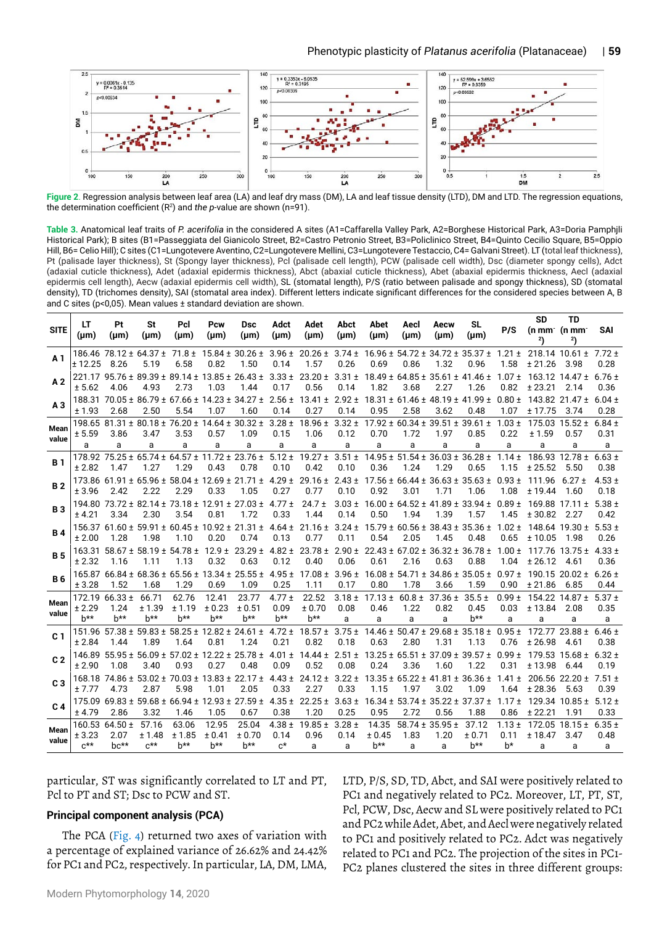

**Figure 2**. Regression analysis between leaf area (LA) and leaf dry mass (DM), LA and leaf tissue density (LTD), DM and LTD. The regression equations, the determination coefficient (R<sup>2</sup> ) and *the p*-value are shown (n=91).

**Table 3.** Anatomical leaf traits of *P. acerifolia* in the considered A sites (A1=Caffarella Valley Park, A2=Borghese Historical Park, A3=Doria Pamphjli Historical Park); B sites (B1=Passeggiata del Gianicolo Street, B2=Castro Petronio Street, B3=Policlinico Street, B4=Quinto Cecilio Square, B5=Oppio Hill, B6= Celio Hill); C sites (C1=Lungotevere Aventino, C2=Lungotevere Mellini, C3=Lungotevere Testaccio, C4= Galvani Street). LT (total leaf thickness), Pt (palisade layer thickness), St (Spongy layer thickness), Pcl (palisade cell length), PCW (palisade cell width), Dsc (diameter spongy cells), Adct (adaxial cuticle thickness), Adet (adaxial epidermis thickness), Abct (abaxial cuticle thickness), Abet (abaxial epidermis thickness, Aecl (adaxial epidermis cell length), Aecw (adaxial epidermis cell width), SL (stomatal length), P/S (ratio between palisade and spongy thickness), SD (stomatal density), TD (trichomes density), SAI (stomatal area index). Different letters indicate significant differences for the considered species between A, B and C sites (p<0,05). Mean values ± standard deviation are shown.

| <b>SITE</b>    | LT<br>$(\mu m)$                      | Pt<br>(um)                               | St<br>(um)                          | Pcl<br>(um)               | Pcw<br>(um)                                      | Dsc<br>(µm)                                                                | Adct<br>(um)                   | Adet<br>(µm)                                                               | Abct<br>$(\mu m)$       | Abet<br>(µm)                                                    | Aecl<br>(um)            | Aecw<br>(µm)                       | SL<br>(µm)                                                                                                                                                                                                                                                                                          | P/S                      | <b>SD</b><br>2)                 | <b>TD</b><br>$(n \, \text{mm}^{\cdot} \, (n \, \text{mm}^{\cdot})$<br>2) | SAI                     |
|----------------|--------------------------------------|------------------------------------------|-------------------------------------|---------------------------|--------------------------------------------------|----------------------------------------------------------------------------|--------------------------------|----------------------------------------------------------------------------|-------------------------|-----------------------------------------------------------------|-------------------------|------------------------------------|-----------------------------------------------------------------------------------------------------------------------------------------------------------------------------------------------------------------------------------------------------------------------------------------------------|--------------------------|---------------------------------|--------------------------------------------------------------------------|-------------------------|
| A 1            | ± 12.25                              | 186.46 78.12 ± 64.37 ±<br>8.26           | 5.19                                | $71.8 \pm$<br>6.58        | 0.82                                             | $15.84 \pm 30.26 \pm 3.96 \pm 1$<br>1.50                                   | 0.14                           | $20.26 \pm$<br>1.57                                                        | 0.26                    | 0.69                                                            | 0.86                    | 1.32                               | $3.74 \pm 16.96 \pm 54.72 \pm 34.72 \pm 35.37 \pm 1.21 \pm 218.14 \pm 10.61 \pm 7.72 \pm 1.01$<br>0.96                                                                                                                                                                                              | 1.58                     | ± 21.26                         | 3.98                                                                     | 0.28                    |
| A <sub>2</sub> | ± 5.62                               | 4.06                                     | 4.93                                | 2.73                      | 1.03                                             | $221.17$ 95.76 ± 89.39 ± 89.14 ± 13.85 ± 26.43 ± 3.33 ±<br>1.44            | 0.17                           | $23.20 \pm 3.31 \pm 18.49 \pm 64.85 \pm 35.61 \pm 41.46 \pm 10.00$<br>0.56 | 0.14                    | 1.82                                                            | 3.68                    | 2.27                               | 1.26                                                                                                                                                                                                                                                                                                | $1.07 \pm$<br>0.82       | $163.12$ $14.47 \pm$<br>± 23.21 | 2.14                                                                     | $6.76 \pm$<br>0.36      |
| A <sub>3</sub> | ± 1.93                               | 2.68                                     | 2.50                                | 5.54                      | 1.07                                             | 188.31 70.05 ± 86.79 ± 67.66 ± 14.23 ± 34.27 ± 2.56 ±<br>1.60              | 0.14                           | 0.27                                                                       | 0.14                    | 0.95                                                            | 2.58                    | 3.62                               | $13.41 \pm 2.92 \pm 18.31 \pm 61.46 \pm 48.19 \pm 41.99 \pm 0.80 \pm 1.00 \pm 1.00 \pm 1.00 \pm 1.00 \pm 1.00 \pm 1.00 \pm 1.00 \pm 1.00 \pm 1.00 \pm 1.00 \pm 1.00 \pm 1.00 \pm 1.00 \pm 1.00 \pm 1.00 \pm 1.00 \pm 1.00 \pm 1.00 \pm 1.00 \pm 1.00 \pm 1.00 \pm 1.00 \pm 1.00 \pm 1.00 \$<br>0.48 | 1.07                     | $143.82$ 21.47 ±<br>± 17.75     | 3.74                                                                     | $6.04 \pm$<br>0.28      |
| Mean<br>value  | ± 5.59<br>a                          | 3.86<br>а                                | 3.47<br>a                           | 3.53<br>a                 | 0.57<br>a                                        | 198.65 81.31 ± 80.18 ± 76.20 ± 14.64 ± 30.32 ± 3.28 ±<br>1.09<br>a         | 0.15<br>a                      | $18.96 \pm$<br>1.06<br>a                                                   | 0.12<br>a               | $3.32 \pm 17.92 \pm 60.34 \pm 39.51 \pm 39.61 \pm$<br>0.70<br>a | 1.72<br>a               | 1.97<br>a                          | 0.85<br>a                                                                                                                                                                                                                                                                                           | $1.03 \pm$<br>0.22<br>a  | 175.03<br>± 1.59<br>a           | $15.52 \pm$<br>0.57<br>a                                                 | $6.84 \pm$<br>0.31<br>a |
| <b>B</b> 1     | ± 2.82                               | 1.47                                     | 1.27                                | 1.29                      | 0.43                                             | $178.92$ $75.25 \pm 65.74 \pm 64.57 \pm 11.72 \pm 23.76 \pm 12.5$<br>0.78  | $5.12 \pm$<br>0.10             | $19.27 \pm$<br>0.42                                                        | 0.10                    | 0.36                                                            | 1.24                    | 1.29                               | $3.51 \pm 14.95 \pm 51.54 \pm 36.03 \pm 36.28 \pm 1$<br>0.65                                                                                                                                                                                                                                        | $1.14 \pm$<br>1.15       | ± 25.52                         | 186.93 $12.78 \pm$<br>5.50                                               | $6.63 \pm$<br>0.38      |
| <b>B2</b>      | ± 3.96                               | $173.86$ 61.91 ± 65.96 ±<br>2.42         | 2.22                                | 2.29                      | 0.33                                             | $58.04 \pm 12.69 \pm 21.71 \pm 1$<br>1.05                                  | $4.29 \pm$<br>0.27             | $29.16 \pm$<br>0.77                                                        | 0.10                    | 0.92                                                            | 3.01                    | 1.71                               | $2.43 \pm 17.56 \pm 66.44 \pm 36.63 \pm 35.63 \pm 0.93 \pm 2.43 \pm 1.53$<br>1.06                                                                                                                                                                                                                   | 1.08                     | 111.96<br>± 19.44               | $6.27 +$<br>1.60                                                         | $4.53 +$<br>0.18        |
| <b>B3</b>      | ± 4.21                               | 3.34                                     | 2.30                                | 3.54                      | 0.81                                             | $194.80$ 73.72 ± 82.14 ± 73.18 ± 12.91 ± 27.03 ±<br>1.72                   | $4.77 \pm$<br>0.33             | $24.7 +$<br>1.44                                                           | $3.03 \pm$<br>0.14      | 0.50                                                            | 1.94                    | 1.39                               | $16.00 \pm 64.52 \pm 41.89 \pm 33.94 \pm 1$<br>1.57                                                                                                                                                                                                                                                 | $0.89 \pm$<br>1.45       | ± 30.82                         | 169.88 $17.11 \pm$<br>2.27                                               | $5.38 +$<br>0.42        |
| <b>B4</b>      | ± 2.00                               | 1.28                                     | 1.98                                | 1.10                      | $156.37$ 61.60 ± 59.91 ± 60.45 ± 10.92 ±<br>0.20 | $21.31 \pm$<br>0.74                                                        | $4.64 \pm$<br>0.13             | $21.16 \pm$<br>0.77                                                        | 0.11                    | 0.54                                                            | 2.05                    | 1.45                               | $3.24 \pm 15.79 \pm 60.56 \pm 38.43 \pm 35.36 \pm 1$<br>0.48                                                                                                                                                                                                                                        | $1.02 \pm$<br>0.65       | ± 10.05                         | $148.64$ 19.30 ±<br>1.98                                                 | $5.53 +$<br>0.26        |
| <b>B5</b>      | ± 2.32                               | $163.31$ 58.67 ± 58.19 ± 54.78 ±<br>1.16 | 1.11                                | 1.13                      | $12.9 +$<br>0.32                                 | $23.29 \pm$<br>0.63                                                        | 4.82 $\pm$<br>0.12             | $23.78 \pm$<br>0.40                                                        | $2.90 \pm$<br>0.06      | 0.61                                                            | 2.16                    | 0.63                               | $22.43 \pm 67.02 \pm 36.32 \pm 36.78 \pm 1$<br>0.88                                                                                                                                                                                                                                                 | $1.00 \pm$<br>1.04       | 117.76<br>± 26.12               | $13.75 \pm$<br>4.61                                                      | $4.33 \pm$<br>0.36      |
| <b>B6</b>      | ± 3.28                               | 1.52                                     | 1.68                                | 1.29                      | 0.69                                             | $165.8766.84 \pm 68.36 \pm 65.56 \pm 13.34 \pm 25.55 \pm 13.34$<br>1.09    | 4.95 $\pm$<br>0.25             | $17.08 \pm$<br>1.11                                                        | $3.96 \pm$<br>0.17      | 0.80                                                            | 1.78                    | 3.66                               | $16.08 \pm 54.71 \pm 34.86 \pm 35.05 \pm 1$<br>1.59                                                                                                                                                                                                                                                 | $0.97 +$<br>0.90         | ± 21.86                         | $190.1520.02 \pm$<br>6.85                                                | $6.26 \pm$<br>0.44      |
| Mean<br>value  | 172.19<br>± 2.29<br>$b***$           | $66.33 \pm$<br>1.24<br>h**               | 66.71<br>± 1.39<br>h**              | 62.76<br>± 1.19<br>$b***$ | 12.41<br>± 0.23<br>h**                           | 23.77<br>± 0.51<br>$b***$                                                  | $4.77 \pm$<br>0.09<br>$h^{**}$ | 22.52<br>± 0.70<br>$h^{**}$                                                | $3.18 \pm$<br>0.08<br>a | $17.13 \pm$<br>0.46<br>a                                        | $60.8 \pm$<br>1.22<br>a | $37.36 \pm$<br>0.82<br>a           | $35.5 \pm$<br>0.45<br>$b***$                                                                                                                                                                                                                                                                        | $0.99 \pm$<br>0.03<br>a  | ± 13.84<br>a                    | $154.22$ $14.87 \pm$<br>2.08<br>a                                        | $5.37 +$<br>0.35<br>a   |
| C <sub>1</sub> | 151.96<br>± 2.84                     | 1.44                                     | 1.89                                | 1.64                      | 0.81                                             | $57.38 \pm 59.83 \pm 58.25 \pm 12.82 \pm 24.61 \pm 4.72 \pm 12.82$<br>1.24 | 0.21                           | $18.57 \pm$<br>0.82                                                        | $3.75 \pm$<br>0.18      | 0.63                                                            | 2.80                    | 1.31                               | $14.46 \pm 50.47 \pm 29.68 \pm 35.18 \pm 1$<br>1.13                                                                                                                                                                                                                                                 | $0.95 \pm$<br>0.76       | 172.77<br>± 26.98               | $23.88 \pm$<br>4.61                                                      | $6.46 \pm$<br>0.38      |
| C <sub>2</sub> | ± 2.90                               | 1.08                                     | 3.40                                | 0.93                      | 0.27                                             | $146.89$ 55.95 ± 56.09 ± 57.02 ± 12.22 ± 25.78 ± 4.01 ±<br>0.48            | 0.09                           | $14.44 \pm$<br>0.52                                                        | 0.08                    | 0.24                                                            | 3.36                    | 1.60                               | $2.51 \pm 13.25 \pm 65.51 \pm 37.09 \pm 39.57 \pm 0.99 \pm 2.5$<br>1.22                                                                                                                                                                                                                             | 0.31                     | ± 13.98                         | $179.53$ 15.68 ±<br>6.44                                                 | 6.32 +<br>0.19          |
| C <sub>3</sub> | ± 7.77                               | 4.73                                     | 2.87                                | 5.98                      | 1.01                                             | $168.18$ 74.86 ± 53.02 ± 70.03 ± 13.83 ± 22.17 ± 4.43 ±<br>2.05            | 0.33                           | $24.12 \pm$<br>2.27                                                        | 0.33                    | 1.15                                                            | 1.97                    | 3.02                               | $3.22 \pm 13.35 \pm 65.22 \pm 41.81 \pm 36.36 \pm 1$<br>1.09                                                                                                                                                                                                                                        | $1.41 \pm$<br>1.64       | ± 28.36                         | $206.56$ $22.20 \pm$<br>5.63                                             | $7.51 \pm$<br>0.39      |
| C <sub>4</sub> | ± 4.79                               | 2.86                                     | 3.32                                | 1.46                      | 1.05                                             | $175.09$ 69.83 ± 59.68 ± 66.94 ± 12.93 ± 27.59 ± 4.35 ±<br>0.67            | 0.38                           | 1.20                                                                       | 0.25                    | 0.95                                                            | 2.72                    | 0.56                               | $22.25 \pm 3.63 \pm 16.34 \pm 53.74 \pm 35.22 \pm 37.37 \pm 10.32$<br>1.88                                                                                                                                                                                                                          | $1.17 \pm$<br>0.86       | ± 22.21                         | $129.34$ $10.85 \pm$<br>1.91                                             | $5.12 \pm$<br>0.33      |
| Mean<br>value  | 160.53<br>± 3.23<br>$C^{\star\star}$ | $64.50 \pm$<br>2.07<br>$hc^{**}$         | 57.16<br>± 1.48<br>$c^{\star\star}$ | 63.06<br>± 1.85<br>h**    | 12.95<br>± 0.41<br>h**                           | 25.04<br>± 0.70<br>h**                                                     | $4.38 \pm$<br>0.14<br>$c^*$    | $19.85 \pm$<br>0.96<br>a                                                   | $3.28 \pm$<br>0.14<br>a | 14.35<br>± 0.45<br>$b***$                                       | 1.83<br>a               | $58.74 \pm 35.95 \pm$<br>1.20<br>a | 37.12<br>± 0.71<br>$h^{**}$                                                                                                                                                                                                                                                                         | $1.13 \pm$<br>0.11<br>h* | 172.05<br>± 18.47<br>a          | $18.15 \pm$<br>3.47<br>a                                                 | $6.35 \pm$<br>0.48<br>a |
|                |                                      |                                          |                                     |                           |                                                  |                                                                            |                                |                                                                            |                         |                                                                 |                         |                                    |                                                                                                                                                                                                                                                                                                     |                          |                                 |                                                                          |                         |

particular, ST was significantly correlated to LT and PT, Pcl to PT and ST; Dsc to PCW and ST.

## **Principal component analysis (PCA)**

The PCA (Fig. 4) returned two axes of variation with a percentage of explained variance of 26.62% and 24.42% for PC1 and PC2, respectively. In particular, LA, DM, LMA, LTD, P/S, SD, TD, Abct, and SAI were positively related to PC1 and negatively related to PC2. Moreover, LT, PT, ST, Pcl, PCW, Dsc, Aecw and SL were positively related to PC1 and PC2 while Adet, Abet, and Aecl were negatively related to PC1 and positively related to PC2. Adct was negatively related to PC1 and PC2. The projection of the sites in PC1- PC2 planes clustered the sites in three different groups: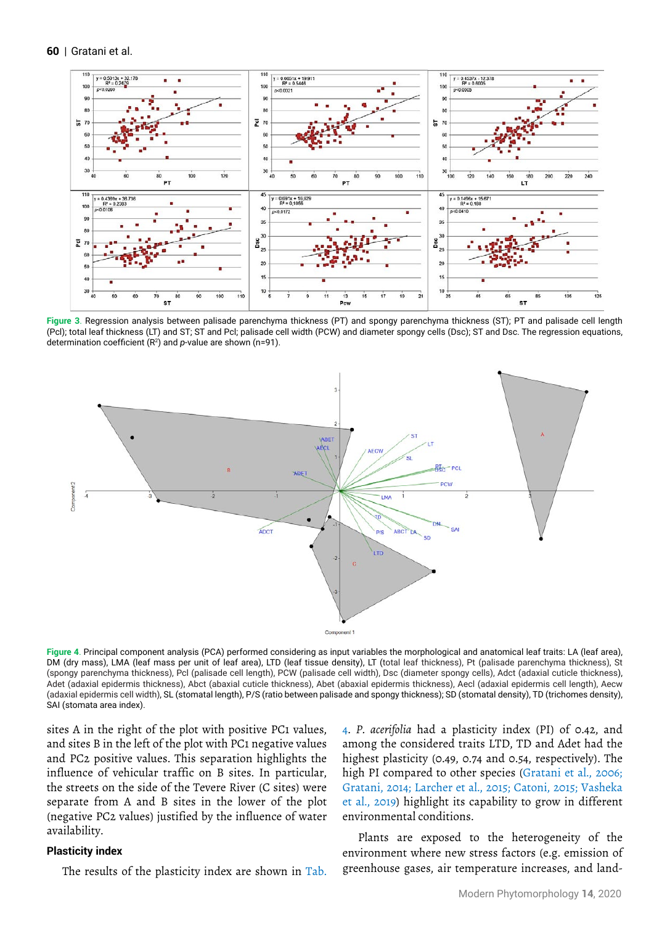**60** | Gratani et al.



**Figure 3**. Regression analysis between palisade parenchyma thickness (PT) and spongy parenchyma thickness (ST); PT and palisade cell length (Pcl); total leaf thickness (LT) and ST; ST and Pcl; palisade cell width (PCW) and diameter spongy cells (Dsc); ST and Dsc. The regression equations, determination coefficient (R<sup>2</sup>) and p-value are shown (n=91).



**Figure 4**. Principal component analysis (PCA) performed considering as input variables the morphological and anatomical leaf traits: LA (leaf area), DM (dry mass), LMA (leaf mass per unit of leaf area), LTD (leaf tissue density), LT (total leaf thickness), Pt (palisade parenchyma thickness), St (spongy parenchyma thickness), Pcl (palisade cell length), PCW (palisade cell width), Dsc (diameter spongy cells), Adct (adaxial cuticle thickness), Adet (adaxial epidermis thickness), Abct (abaxial cuticle thickness), Abet (abaxial epidermis thickness), Aecl (adaxial epidermis cell length), Aecw (adaxial epidermis cell width), SL (stomatal length), P/S (ratio between palisade and spongy thickness); SD (stomatal density), TD (trichomes density), SAI (stomata area index).

sites A in the right of the plot with positive PC1 values, and sites B in the left of the plot with PC1 negative values and PC2 positive values. This separation highlights the influence of vehicular traffic on B sites. In particular, the streets on the side of the Tevere River (C sites) were separate from A and B sites in the lower of the plot (negative PC2 values) justified by the influence of water availability.

#### **Plasticity index**

The results of the plasticity index are shown in Tab.

4. *P. acerifolia* had a plasticity index (PI) of 0.42, and among the considered traits LTD, TD and Adet had the highest plasticity (0.49, 0.74 and 0.54, respectively). The high PI compared to other species (Gratani et al., 2006; Gratani, 2014; Larcher et al., 2015; Catoni, 2015; Vasheka et al., 2019) highlight its capability to grow in different environmental conditions.

Plants are exposed to the heterogeneity of the environment where new stress factors (e.g. emission of greenhouse gases, air temperature increases, and land-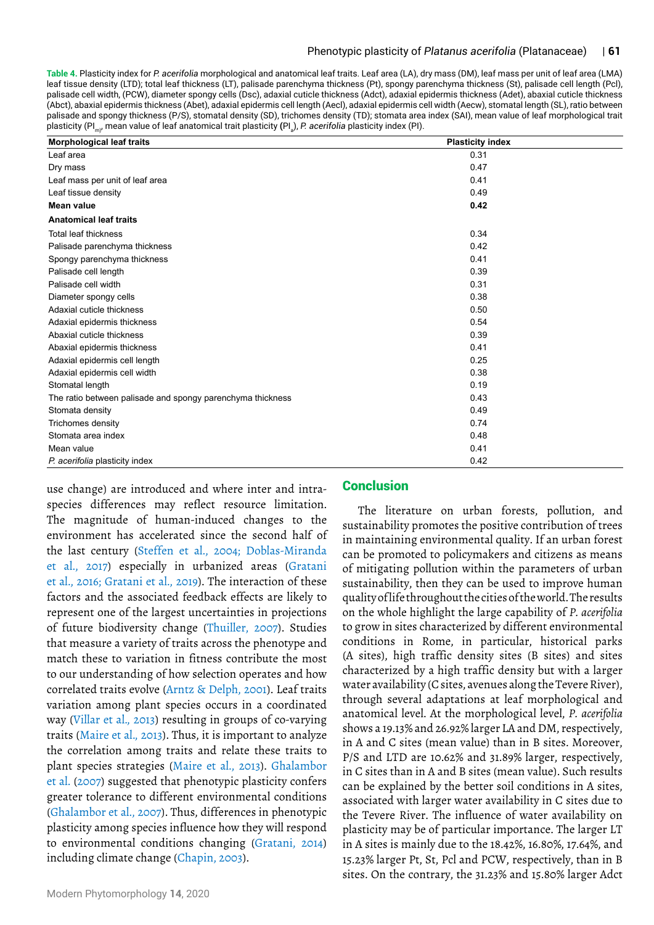**Table 4.** Plasticity index for *P. acerifolia* morphological and anatomical leaf traits. Leaf area (LA), dry mass (DM), leaf mass per unit of leaf area (LMA) leaf tissue density (LTD); total leaf thickness (LT), palisade parenchyma thickness (Pt), spongy parenchyma thickness (St), palisade cell length (Pcl), palisade cell width, (PCW), diameter spongy cells (Dsc), adaxial cuticle thickness (Adct), adaxial epidermis thickness (Adet), abaxial cuticle thickness (Abct), abaxial epidermis thickness (Abet), adaxial epidermis cell length (Aecl), adaxial epidermis cell width (Aecw), stomatal length (SL), ratio between palisade and spongy thickness (P/S), stomatal density (SD), trichomes density (TD); stomata area index (SAI), mean value of leaf morphological trait plasticity (PI<sub>m)</sub>, mean value of leaf anatomical trait plasticity (PI<sub>a</sub>), *P. acerifolia* plasticity index (PI).

| <b>Morphological leaf traits</b>                           | <b>Plasticity index</b> |
|------------------------------------------------------------|-------------------------|
| Leaf area                                                  | 0.31                    |
| Dry mass                                                   | 0.47                    |
| Leaf mass per unit of leaf area                            | 0.41                    |
| Leaf tissue density                                        | 0.49                    |
| <b>Mean value</b>                                          | 0.42                    |
| <b>Anatomical leaf traits</b>                              |                         |
| <b>Total leaf thickness</b>                                | 0.34                    |
| Palisade parenchyma thickness                              | 0.42                    |
| Spongy parenchyma thickness                                | 0.41                    |
| Palisade cell length                                       | 0.39                    |
| Palisade cell width                                        | 0.31                    |
| Diameter spongy cells                                      | 0.38                    |
| Adaxial cuticle thickness                                  | 0.50                    |
| Adaxial epidermis thickness                                | 0.54                    |
| Abaxial cuticle thickness                                  | 0.39                    |
| Abaxial epidermis thickness                                | 0.41                    |
| Adaxial epidermis cell length                              | 0.25                    |
| Adaxial epidermis cell width                               | 0.38                    |
| Stomatal length                                            | 0.19                    |
| The ratio between palisade and spongy parenchyma thickness | 0.43                    |
| Stomata density                                            | 0.49                    |
| Trichomes density                                          | 0.74                    |
| Stomata area index                                         | 0.48                    |
| Mean value                                                 | 0.41                    |
| P. acerifolia plasticity index                             | 0.42                    |

use change) are introduced and where inter and intraspecies differences may reflect resource limitation. The magnitude of human-induced changes to the environment has accelerated since the second half of the last century (Steffen et al., 2004; Doblas-Miranda et al., 2017) especially in urbanized areas (Gratani et al., 2016; Gratani et al., 2019). The interaction of these factors and the associated feedback effects are likely to represent one of the largest uncertainties in projections of future biodiversity change (Thuiller, 2007). Studies that measure a variety of traits across the phenotype and match these to variation in fitness contribute the most to our understanding of how selection operates and how correlated traits evolve (Arntz & Delph, 2001). Leaf traits variation among plant species occurs in a coordinated way (Villar et al.*,* 2013) resulting in groups of co-varying traits (Maire et al.*,* 2013). Thus, it is important to analyze the correlation among traits and relate these traits to plant species strategies (Maire et al., 2013). Ghalambor et al. (2007) suggested that phenotypic plasticity confers greater tolerance to different environmental conditions (Ghalambor et al., 2007). Thus, differences in phenotypic plasticity among species influence how they will respond to environmental conditions changing (Gratani, 2014) including climate change (Chapin, 2003).

# **Conclusion**

The literature on urban forests, pollution, and sustainability promotes the positive contribution of trees in maintaining environmental quality. If an urban forest can be promoted to policymakers and citizens as means of mitigating pollution within the parameters of urban sustainability, then they can be used to improve human quality of life throughout the cities of the world. The results on the whole highlight the large capability of *P. acerifolia* to grow in sites characterized by different environmental conditions in Rome, in particular, historical parks (A sites), high traffic density sites (B sites) and sites characterized by a high traffic density but with a larger water availability (C sites, avenues along the Tevere River), through several adaptations at leaf morphological and anatomical level. At the morphological level, *P. acerifolia* shows a 19.13% and 26.92% larger LA and DM, respectively, in A and C sites (mean value) than in B sites. Moreover, P/S and LTD are 10.62% and 31.89% larger, respectively, in C sites than in A and B sites (mean value). Such results can be explained by the better soil conditions in A sites, associated with larger water availability in C sites due to the Tevere River. The influence of water availability on plasticity may be of particular importance. The larger LT in A sites is mainly due to the 18.42%, 16.80%, 17.64%, and 15.23% larger Pt, St, Pcl and PCW, respectively, than in B sites. On the contrary, the 31.23% and 15.80% larger Adct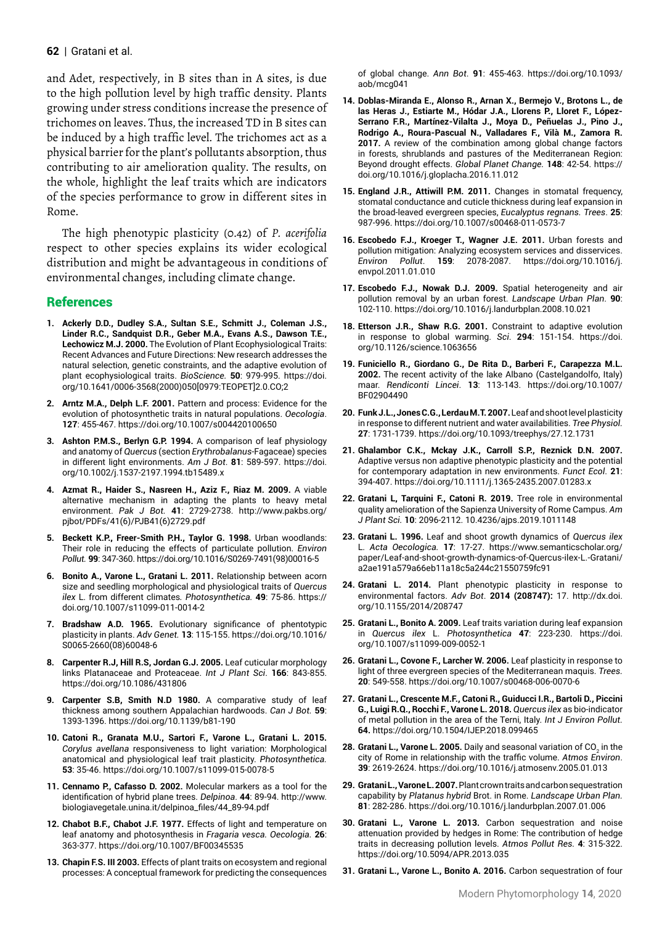and Adet, respectively, in B sites than in A sites, is due to the high pollution level by high traffic density. Plants growing under stress conditions increase the presence of trichomes on leaves. Thus, the increased TD in B sites can be induced by a high traffic level. The trichomes act as a physical barrier for the plant's pollutants absorption, thus contributing to air amelioration quality. The results, on the whole, highlight the leaf traits which are indicators of the species performance to grow in different sites in Rome.

The high phenotypic plasticity (0.42) of *P. acerifolia*  respect to other species explains its wider ecological distribution and might be advantageous in conditions of environmental changes, including climate change.

# References

- **1. [Ackerly](about:blank) D.D., [Dudley](about:blank) S.A., [Sultan](about:blank) S.E., [Schmitt](about:blank) J., [Coleman](about:blank) J.S., [Linder](about:blank) R.C., [Sandquist](about:blank) D.R., [Geber](about:blank) M.A., [Evans](about:blank) A.S., [Dawson](about:blank) T.E., [Lechowicz](about:blank) M.J. 2000.** The Evolution of Plant Ecophysiological Traits: Recent Advances and Future Directions: New research addresses the natural selection, genetic constraints, and the adaptive evolution of plant ecophysiological traits. *BioScience.* **50**: 979-995. [https://doi.](https://doi.org/10.1641/0006-3568(2000)050%5b0979:TEOPET%5d2.0.CO;2) [org/10.1641/0006-3568\(2000\)050\[0979:TEOPET\]2.0.CO;2](https://doi.org/10.1641/0006-3568(2000)050%5b0979:TEOPET%5d2.0.CO;2)
- **2. Arntz M.A., Delph L.F. 2001.** Pattern and process: Evidence for the evolution of photosynthetic traits in natural populations. *Oecologia*. **127**: 455-467. <https://doi.org/10.1007/s004420100650>
- **3. [Ashton](https://bsapubs.onlinelibrary.wiley.com/action/doSearch?ContribAuthorStored=Ashton%2C+P+M+S) P.M.S., [Berlyn](https://bsapubs.onlinelibrary.wiley.com/action/doSearch?ContribAuthorStored=Berlyn%2C+G+P) G.P. 1994.** A comparison of leaf physiology and anatomy of *Quercus* (section *Erythrobalanus*‐Fagaceae) species in different light environments. *Am J Bot*. **81**: 589-597. [https://doi.](https://doi.org/10.1002/j.1537-2197.1994.tb15489.x) [org/10.1002/j.1537-2197.1994.tb15489.x](https://doi.org/10.1002/j.1537-2197.1994.tb15489.x)
- **4. Azmat R., Haider S., Nasreen H., Aziz F., Riaz M. 2009.** A viable alternative mechanism in adapting the plants to heavy metal environment. *Pak J Bot.* **41**: 2729-2738. [http://www.pakbs.org/](http://www.pakbs.org/pjbot/PDFs/41(6)/PJB41(6)2729.pdf) [pjbot/PDFs/41\(6\)/PJB41\(6\)2729.pdf](http://www.pakbs.org/pjbot/PDFs/41(6)/PJB41(6)2729.pdf)
- **5. Beckett K.P., Freer-Smith P.H., Taylor G. 1998.** Urban woodlands: Their role in reducing the effects of particulate pollution. *Environ Pollut.* **99**: 347-360. [https://doi.org/10.1016/S0269-7491\(98\)00016-5](https://doi.org/10.1016/S0269-7491(98)00016-5)
- **6. Bonito A., Varone L., Gratani L. 2011.** Relationship between acorn size and seedling morphological and physiological traits of *Quercus ilex* L. from different climates*. Photosynthetica.* **49**: 75-86. [https://](https://doi.org/10.1007/s11099-011-0014-2) [doi.org/10.1007/s11099-011-0014-2](https://doi.org/10.1007/s11099-011-0014-2)
- **7. Bradshaw A.D. 1965.** Evolutionary significance of phentotypic plasticity in plants. *Adv Genet.* **13**: 115-155. [https://doi.org/10.1016/](https://doi.org/10.1016/S0065-2660(08)60048-6) [S0065-2660\(08\)60048-6](https://doi.org/10.1016/S0065-2660(08)60048-6)
- **8. Carpenter R.J, Hill R.S, Jordan G.J. 2005.** Leaf cuticular morphology links Platanaceae and Proteaceae. *Int J Plant Sci*. **166**: 843-855. <https://doi.org/10.1086/431806>
- **9. Carpenter S.B, Smith N.D 1980.** A comparative study of leaf thickness among southern Appalachian hardwoods. *Can J Bot.* **59**: 1393-1396. <https://doi.org/10.1139/b81-190>
- **10. Catoni R., Granata M.U., Sartori F., Varone L., Gratani L. 2015.**  *Corylus avellana* responsiveness to light variation: Morphological anatomical and physiological leaf trait plasticity. *Photosynthetica.*  **53**: 35-46.<https://doi.org/10.1007/s11099-015-0078-5>
- **11. Cennamo P., Cafasso D. 2002.** Molecular markers as a tool for the identification of hybrid plane trees. *Delpinoa*. **44**: 89-94. [http://www.](http://www.biologiavegetale.unina.it/delpinoa_files/44_89-94.pdf) [biologiavegetale.unina.it/delpinoa\\_files/44\\_89-94.pdf](http://www.biologiavegetale.unina.it/delpinoa_files/44_89-94.pdf)
- **12. Chabot B.F., Chabot J.F. 1977.** Effects of light and temperature on leaf anatomy and photosynthesis in *Fragaria vesca. Oecologia.* **26**: 363-377. <https://doi.org/10.1007/BF00345535>
- **13. Chapin F.S. III 2003.** Effects of plant traits on ecosystem and regional processes: A conceptual framework for predicting the consequences

of global change. *Ann Bot*. **91**: 455-463. [https://doi.org/10.1093/](https://doi.org/10.1093/aob/mcg041) [aob/mcg041](https://doi.org/10.1093/aob/mcg041)

- **14. Doblas-Miranda E., Alonso R., Arnan X., Bermejo V., Brotons L., de las Heras J., Estiarte M., Hódar J.A., Llorens P., Lloret F., López-Serrano F.R., Martínez-Vilalta J., Moya D., Peñuelas J., Pino J., Rodrigo A., Roura-Pascual N., Valladares F., Vilà M., Zamora R. 2017.** A review of the combination among global change factors in forests, shrublands and pastures of the Mediterranean Region: Beyond drought effects. *Global Planet Change.* **148**: 42-54. [https://](https://doi.org/10.1016/j.gloplacha.2016.11.012) [doi.org/10.1016/j.gloplacha.2016.11.012](https://doi.org/10.1016/j.gloplacha.2016.11.012)
- **15. England J.R., Attiwill P.M. 2011.** Changes in stomatal frequency, stomatal conductance and cuticle thickness during leaf expansion in the broad-leaved evergreen species, *Eucalyptus regnans. Trees*. **25**: 987-996.<https://doi.org/10.1007/s00468-011-0573-7>
- **16. Escobedo F.J., Kroeger T., Wagner J.E. 2011.** Urban forests and pollution mitigation: Analyzing ecosystem services and disservices. *Environ Pollut*. **159**: 2078-2087. [https://doi.org/10.1016/j.](https://doi.org/10.1016/j.envpol.2011.01.010) [envpol.2011.01.010](https://doi.org/10.1016/j.envpol.2011.01.010)
- **17. Escobedo F.J., Nowak D.J. 2009.** Spatial heterogeneity and air pollution removal by an urban forest. *Landscape Urban Plan*. **90**: 102-110. <https://doi.org/10.1016/j.landurbplan.2008.10.021>
- **18. Etterson J.R., Shaw R.G. 2001.** Constraint to adaptive evolution in response to global warming. *Sci*. **294**: 151-154. [https://doi.](https://doi.org/10.1126/science.1063656) [org/10.1126/science.1063656](https://doi.org/10.1126/science.1063656)
- **19. Funiciello R., Giordano G., De Rita D., Barberi F., Carapezza M.L. 2002.** The recent activity of the lake Albano (Castelgandolfo, Italy) maar. *[Rendiconti Lincei](https://link.springer.com/journal/12210)*. **13**: 113-143. [https://doi.org/10.1007/](https://doi.org/10.1007/BF02904490) [BF02904490](https://doi.org/10.1007/BF02904490)
- **20. Funk J.L., Jones C.G., Lerdau M.T. 2007.** Leaf and shoot level plasticity in response to different nutrient and water availabilities. *Tree Physiol.* **27**: 1731-1739. https://doi.org/10.1093/treephys/27.12.1731
- **21. Ghalambor C.K., Mckay J.K., Carroll S.P., Reznick D.N. 2007.**  Adaptive versus non adaptive phenotypic plasticity and the potential for contemporary adaptation in new environments. *Funct Ecol*. **21**: 394-407. <https://doi.org/10.1111/j.1365-2435.2007.01283.x>
- **22. [Gratani](https://www.scirp.org/journal/articles.aspx?searchcode=L.++Gratani&searchfield=authors&page=1) L[, Tarquini](https://www.scirp.org/journal/articles.aspx?searchcode=F.++Tarquini&searchfield=authors&page=1) F., [Catoni](https://www.scirp.org/journal/articles.aspx?searchcode=R.++Catoni&searchfield=authors&page=1) R. 2019.** Tree role in environmental quality amelioration of the Sapienza University of Rome Campus. *Am J Plant Sci.* **[10](https://www.scirp.org/journal/home.aspx?issueid=13176#96678)**: 2096-2112. [10.4236/ajps.2019.1011148](https://doi.org/10.4236/ajps.2019.1011148)
- **23. Gratani L. 1996.** Leaf and shoot growth dynamics of *Quercus ilex* L. *Acta Oecologica.* **17**: 17-27. [https://www.semanticscholar.org/](https://www.semanticscholar.org/paper/Leaf-and-shoot-growth-dynamics-of-Quercus-ilex-L.-Gratani/a2ae191a579a66eb11a18c5a244c21550759fc91) [paper/Leaf-and-shoot-growth-dynamics-of-Quercus-ilex-L.-Gratani/](https://www.semanticscholar.org/paper/Leaf-and-shoot-growth-dynamics-of-Quercus-ilex-L.-Gratani/a2ae191a579a66eb11a18c5a244c21550759fc91) [a2ae191a579a66eb11a18c5a244c21550759fc91](https://www.semanticscholar.org/paper/Leaf-and-shoot-growth-dynamics-of-Quercus-ilex-L.-Gratani/a2ae191a579a66eb11a18c5a244c21550759fc91)
- **24. Gratani L. 2014.** Plant phenotypic plasticity in response to environmental factors. *Adv Bot*. **2014 (208747):** 17. [http://dx.doi.](http://dx.doi.org/10.1155/2014/208747) [org/10.1155/2014/208747](http://dx.doi.org/10.1155/2014/208747)
- **25. Gratani L., Bonito A. 2009.** Leaf traits variation during leaf expansion in *Quercus ilex* L. *Photosynthetica* **47**: 223-230. [https://doi.](https://doi.org/10.1007/s11099-009-0052-1) [org/10.1007/s11099-009-0052-1](https://doi.org/10.1007/s11099-009-0052-1)
- **26. Gratani L., Covone F., Larcher W. 2006.** Leaf plasticity in response to light of three evergreen species of the Mediterranean maquis. *Trees.*  **20**: 549-558.<https://doi.org/10.1007/s00468-006-0070-6>
- **27. Gratani L., Crescente M.F., Catoni R., Guiducci I.R., Bartoli D., Piccini G., Luigi R.Q., Rocchi F., Varone L. 2018.** *Quercus ilex* as bio-indicator of metal pollution in the area of the Terni, Italy. *Int J Environ Pollut.*  **64.**<https://doi.org/10.1504/IJEP.2018.099465>
- **28. Gratani L., Varone L. 2005.** Daily and seasonal variation of CO<sub>2</sub> in the city of Rome in relationship with the traffic volume. *Atmos Environ*. **39**: 2619-2624.<https://doi.org/10.1016/j.atmosenv.2005.01.013>
- **29. Gratani L., Varone L. 2007.** Plant crown traits and carbon sequestration capability by *Platanus hybrid* Brot. in Rome. *Landscape Urban Plan.*  **81**: 282-286.<https://doi.org/10.1016/j.landurbplan.2007.01.006>
- **30. Gratani L., Varone L. 2013.** Carbon sequestration and noise attenuation provided by hedges in Rome: The contribution of hedge traits in decreasing pollution levels. *Atmos Pollut Res.* **4**: 315-322. <https://doi.org/10.5094/APR.2013.035>
- **31. Gratani L., Varone L., Bonito A. 2016.** Carbon sequestration of four